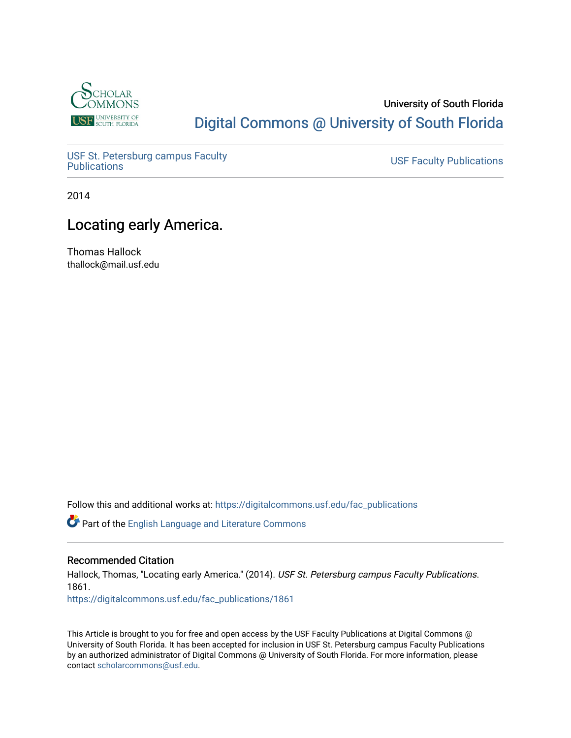

## University of South Florida [Digital Commons @ University of South Florida](https://digitalcommons.usf.edu/)

USF St. Petersburg campus Faculty<br>Publications

**USF Faculty Publications** 

2014

# Locating early America.

Thomas Hallock thallock@mail.usf.edu

Follow this and additional works at: [https://digitalcommons.usf.edu/fac\\_publications](https://digitalcommons.usf.edu/fac_publications?utm_source=digitalcommons.usf.edu%2Ffac_publications%2F1861&utm_medium=PDF&utm_campaign=PDFCoverPages)

Part of the [English Language and Literature Commons](http://network.bepress.com/hgg/discipline/455?utm_source=digitalcommons.usf.edu%2Ffac_publications%2F1861&utm_medium=PDF&utm_campaign=PDFCoverPages)

## Recommended Citation

Hallock, Thomas, "Locating early America." (2014). USF St. Petersburg campus Faculty Publications. 1861.

[https://digitalcommons.usf.edu/fac\\_publications/1861](https://digitalcommons.usf.edu/fac_publications/1861?utm_source=digitalcommons.usf.edu%2Ffac_publications%2F1861&utm_medium=PDF&utm_campaign=PDFCoverPages) 

This Article is brought to you for free and open access by the USF Faculty Publications at Digital Commons @ University of South Florida. It has been accepted for inclusion in USF St. Petersburg campus Faculty Publications by an authorized administrator of Digital Commons @ University of South Florida. For more information, please contact [scholarcommons@usf.edu](mailto:scholarcommons@usf.edu).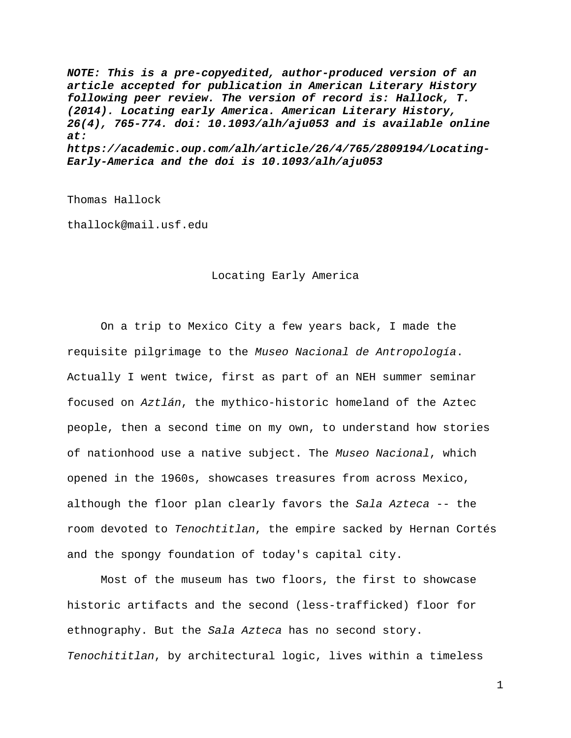*NOTE: This is a pre-copyedited, author-produced version of an article accepted for publication in American Literary History following peer review. The version of record is: Hallock, T. (2014). Locating early America. American Literary History, 26(4), 765-774. doi: 10.1093/alh/aju053 and is available online at: https://academic.oup.com/alh/article/26/4/765/2809194/Locating-Early-America and the doi is 10.1093/alh/aju053* 

Thomas Hallock

thallock@mail.usf.edu

#### Locating Early America

 On a trip to Mexico City a few years back, I made the requisite pilgrimage to the *Museo Nacional de Antropología*. Actually I went twice, first as part of an NEH summer seminar focused on *Aztlán*, the mythico-historic homeland of the Aztec people, then a second time on my own, to understand how stories of nationhood use a native subject. The *Museo Nacional*, which opened in the 1960s, showcases treasures from across Mexico, although the floor plan clearly favors the *Sala Azteca* -- the room devoted to *Tenochtitlan*, the empire sacked by Hernan Cortés and the spongy foundation of today's capital city.

 Most of the museum has two floors, the first to showcase historic artifacts and the second (less-trafficked) floor for ethnography. But the *Sala Azteca* has no second story. *Tenochititlan*, by architectural logic, lives within a timeless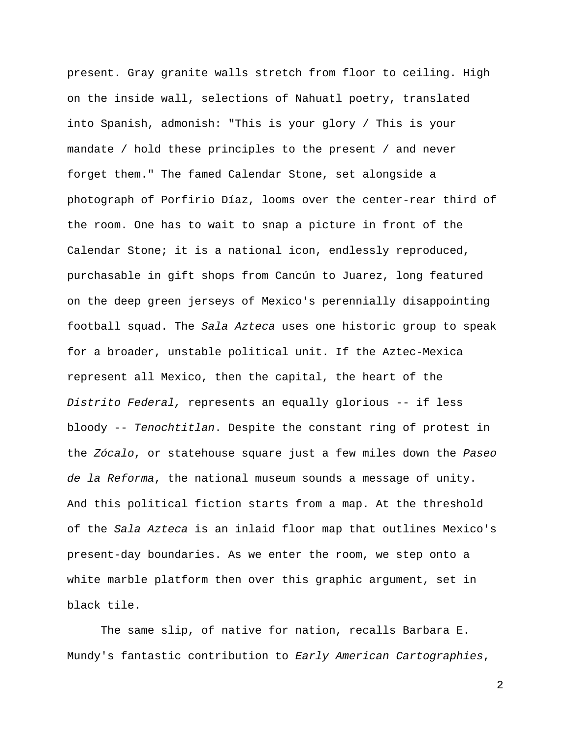present. Gray granite walls stretch from floor to ceiling. High on the inside wall, selections of Nahuatl poetry, translated into Spanish, admonish: "This is your glory / This is your mandate / hold these principles to the present / and never forget them." The famed Calendar Stone, set alongside a photograph of Porfirio Díaz, looms over the center-rear third of the room. One has to wait to snap a picture in front of the Calendar Stone; it is a national icon, endlessly reproduced, purchasable in gift shops from Cancún to Juarez, long featured on the deep green jerseys of Mexico's perennially disappointing football squad. The *Sala Azteca* uses one historic group to speak for a broader, unstable political unit. If the Aztec-Mexica represent all Mexico, then the capital, the heart of the *Distrito Federal,* represents an equally glorious -- if less bloody -- *Tenochtitlan*. Despite the constant ring of protest in the *Zócalo*, or statehouse square just a few miles down the *Paseo de la Reforma*, the national museum sounds a message of unity. And this political fiction starts from a map. At the threshold of the *Sala Azteca* is an inlaid floor map that outlines Mexico's present-day boundaries. As we enter the room, we step onto a white marble platform then over this graphic argument, set in black tile.

 The same slip, of native for nation, recalls Barbara E. Mundy's fantastic contribution to *Early American Cartographies*,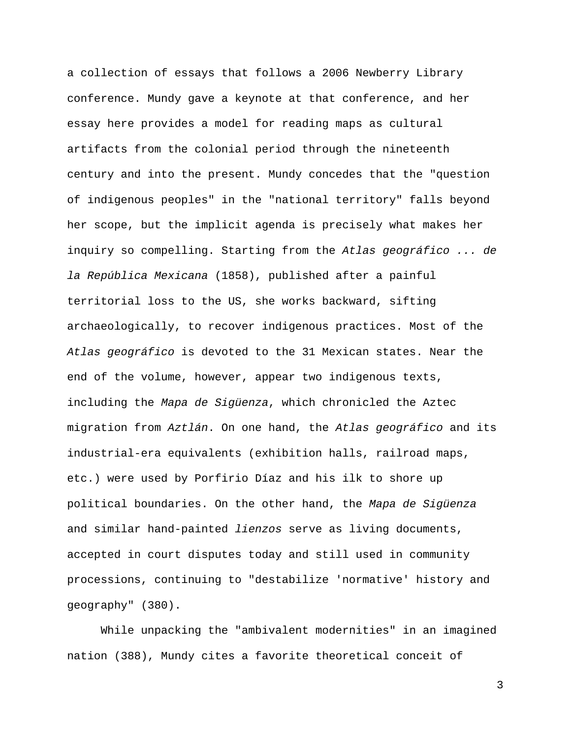a collection of essays that follows a 2006 Newberry Library conference. Mundy gave a keynote at that conference, and her essay here provides a model for reading maps as cultural artifacts from the colonial period through the nineteenth century and into the present. Mundy concedes that the "question of indigenous peoples" in the "national territory" falls beyond her scope, but the implicit agenda is precisely what makes her inquiry so compelling. Starting from the *Atlas geográfico ... de la República Mexicana* (1858), published after a painful territorial loss to the US, she works backward, sifting archaeologically, to recover indigenous practices. Most of the *Atlas geográfico* is devoted to the 31 Mexican states. Near the end of the volume, however, appear two indigenous texts, including the *Mapa de Sigüenza*, which chronicled the Aztec migration from *Aztlán*. On one hand, the *Atlas geográfico* and its industrial-era equivalents (exhibition halls, railroad maps, etc.) were used by Porfirio Díaz and his ilk to shore up political boundaries. On the other hand, the *Mapa de Sigüenza*  and similar hand-painted *lienzos* serve as living documents, accepted in court disputes today and still used in community processions, continuing to "destabilize 'normative' history and geography" (380).

 While unpacking the "ambivalent modernities" in an imagined nation (388), Mundy cites a favorite theoretical conceit of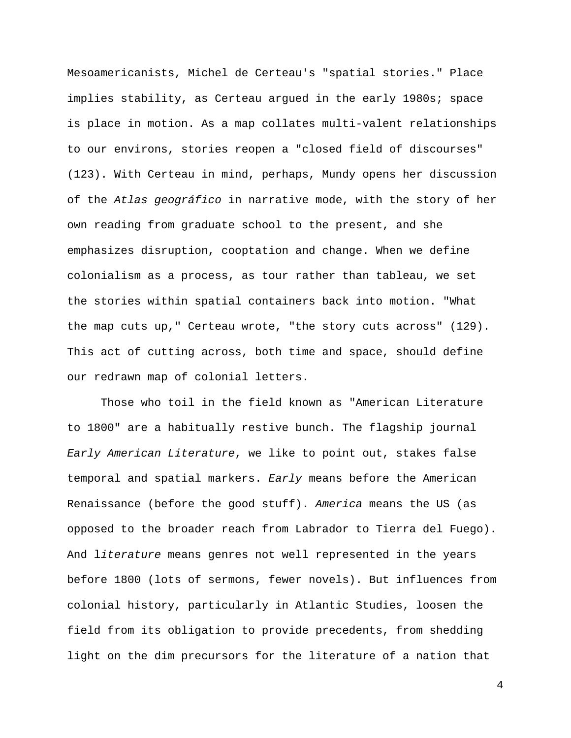Mesoamericanists, Michel de Certeau's "spatial stories." Place implies stability, as Certeau argued in the early 1980s; space is place in motion. As a map collates multi-valent relationships to our environs, stories reopen a "closed field of discourses" (123). With Certeau in mind, perhaps, Mundy opens her discussion of the *Atlas geográfico* in narrative mode, with the story of her own reading from graduate school to the present, and she emphasizes disruption, cooptation and change. When we define colonialism as a process, as tour rather than tableau, we set the stories within spatial containers back into motion. "What the map cuts up," Certeau wrote, "the story cuts across" (129). This act of cutting across, both time and space, should define our redrawn map of colonial letters.

 Those who toil in the field known as "American Literature to 1800" are a habitually restive bunch. The flagship journal *Early American Literature*, we like to point out, stakes false temporal and spatial markers. *Early* means before the American Renaissance (before the good stuff). *America* means the US (as opposed to the broader reach from Labrador to Tierra del Fuego). And l*iterature* means genres not well represented in the years before 1800 (lots of sermons, fewer novels). But influences from colonial history, particularly in Atlantic Studies, loosen the field from its obligation to provide precedents, from shedding light on the dim precursors for the literature of a nation that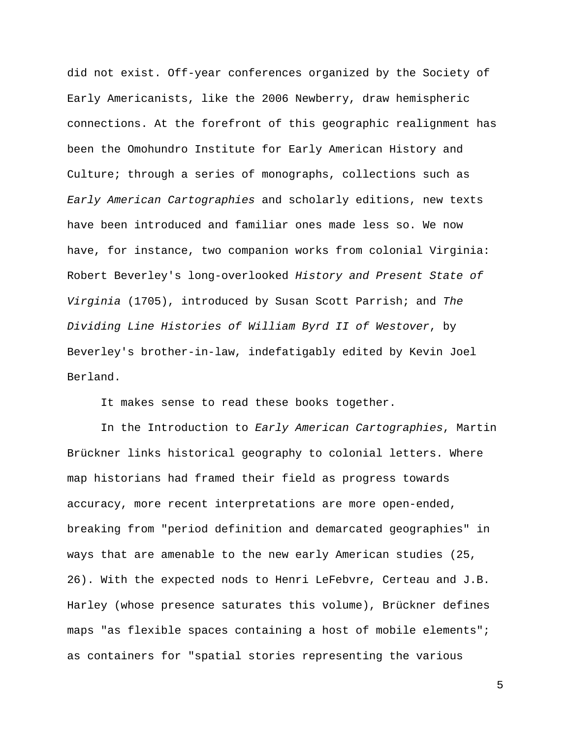did not exist. Off-year conferences organized by the Society of Early Americanists, like the 2006 Newberry, draw hemispheric connections. At the forefront of this geographic realignment has been the Omohundro Institute for Early American History and Culture; through a series of monographs, collections such as *Early American Cartographies* and scholarly editions, new texts have been introduced and familiar ones made less so. We now have, for instance, two companion works from colonial Virginia: Robert Beverley's long-overlooked *History and Present State of Virginia* (1705), introduced by Susan Scott Parrish; and *The Dividing Line Histories of William Byrd II of Westover*, by Beverley's brother-in-law, indefatigably edited by Kevin Joel Berland.

It makes sense to read these books together.

 In the Introduction to *Early American Cartographies*, Martin Brückner links historical geography to colonial letters. Where map historians had framed their field as progress towards accuracy, more recent interpretations are more open-ended, breaking from "period definition and demarcated geographies" in ways that are amenable to the new early American studies (25, 26). With the expected nods to Henri LeFebvre, Certeau and J.B. Harley (whose presence saturates this volume), Brückner defines maps "as flexible spaces containing a host of mobile elements"; as containers for "spatial stories representing the various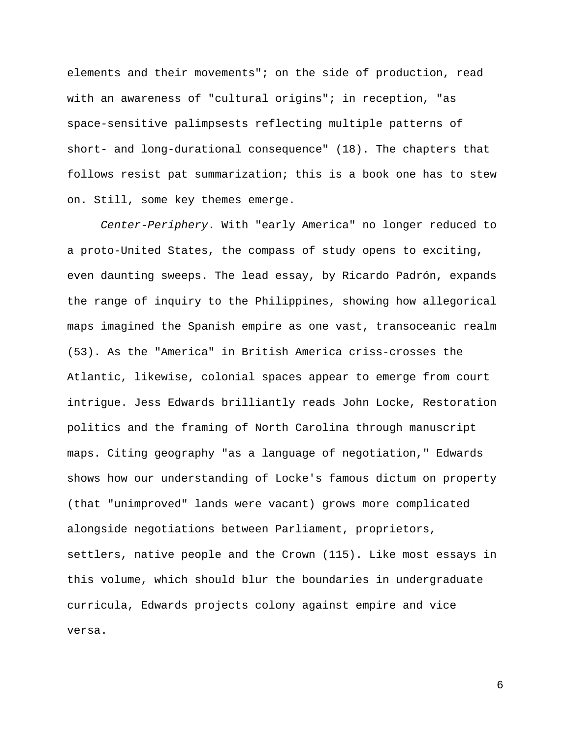elements and their movements"; on the side of production, read with an awareness of "cultural origins"; in reception, "as space-sensitive palimpsests reflecting multiple patterns of short- and long-durational consequence" (18). The chapters that follows resist pat summarization; this is a book one has to stew on. Still, some key themes emerge.

*Center-Periphery*. With "early America" no longer reduced to a proto-United States, the compass of study opens to exciting, even daunting sweeps. The lead essay, by Ricardo Padrón, expands the range of inquiry to the Philippines, showing how allegorical maps imagined the Spanish empire as one vast, transoceanic realm (53). As the "America" in British America criss-crosses the Atlantic, likewise, colonial spaces appear to emerge from court intrigue. Jess Edwards brilliantly reads John Locke, Restoration politics and the framing of North Carolina through manuscript maps. Citing geography "as a language of negotiation," Edwards shows how our understanding of Locke's famous dictum on property (that "unimproved" lands were vacant) grows more complicated alongside negotiations between Parliament, proprietors, settlers, native people and the Crown (115). Like most essays in this volume, which should blur the boundaries in undergraduate curricula, Edwards projects colony against empire and vice versa.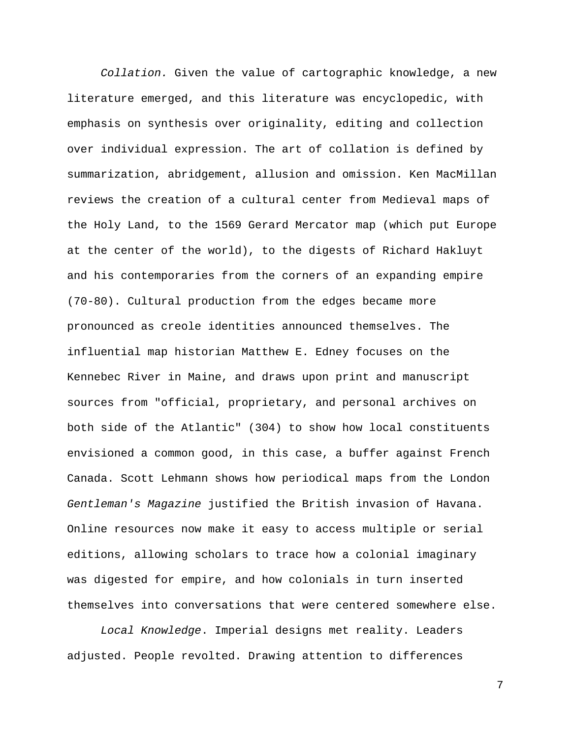*Collation.* Given the value of cartographic knowledge, a new literature emerged, and this literature was encyclopedic, with emphasis on synthesis over originality, editing and collection over individual expression. The art of collation is defined by summarization, abridgement, allusion and omission. Ken MacMillan reviews the creation of a cultural center from Medieval maps of the Holy Land, to the 1569 Gerard Mercator map (which put Europe at the center of the world), to the digests of Richard Hakluyt and his contemporaries from the corners of an expanding empire (70-80). Cultural production from the edges became more pronounced as creole identities announced themselves. The influential map historian Matthew E. Edney focuses on the Kennebec River in Maine, and draws upon print and manuscript sources from "official, proprietary, and personal archives on both side of the Atlantic" (304) to show how local constituents envisioned a common good, in this case, a buffer against French Canada. Scott Lehmann shows how periodical maps from the London *Gentleman's Magazine* justified the British invasion of Havana. Online resources now make it easy to access multiple or serial editions, allowing scholars to trace how a colonial imaginary was digested for empire, and how colonials in turn inserted themselves into conversations that were centered somewhere else.

*Local Knowledge*. Imperial designs met reality. Leaders adjusted. People revolted. Drawing attention to differences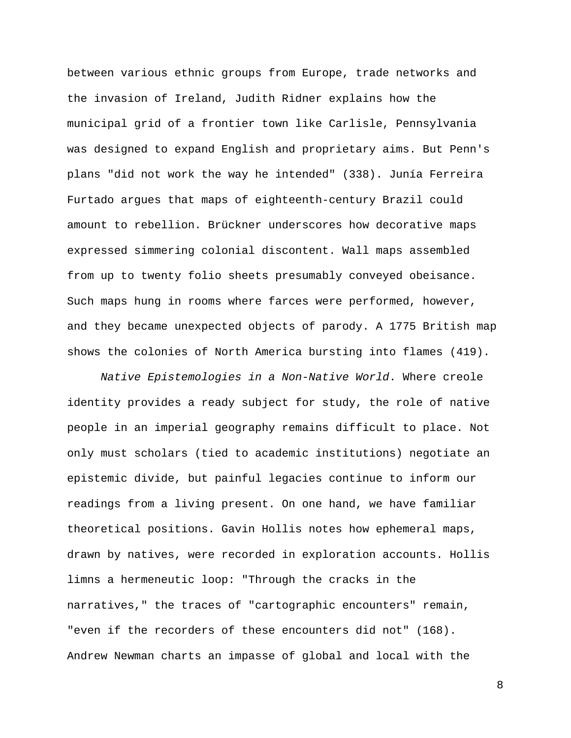between various ethnic groups from Europe, trade networks and the invasion of Ireland, Judith Ridner explains how the municipal grid of a frontier town like Carlisle, Pennsylvania was designed to expand English and proprietary aims. But Penn's plans "did not work the way he intended" (338). Junía Ferreira Furtado argues that maps of eighteenth-century Brazil could amount to rebellion. Brückner underscores how decorative maps expressed simmering colonial discontent. Wall maps assembled from up to twenty folio sheets presumably conveyed obeisance. Such maps hung in rooms where farces were performed, however, and they became unexpected objects of parody. A 1775 British map shows the colonies of North America bursting into flames (419).

*Native Epistemologies in a Non-Native World*. Where creole identity provides a ready subject for study, the role of native people in an imperial geography remains difficult to place. Not only must scholars (tied to academic institutions) negotiate an epistemic divide, but painful legacies continue to inform our readings from a living present. On one hand, we have familiar theoretical positions. Gavin Hollis notes how ephemeral maps, drawn by natives, were recorded in exploration accounts. Hollis limns a hermeneutic loop: "Through the cracks in the narratives," the traces of "cartographic encounters" remain, "even if the recorders of these encounters did not" (168). Andrew Newman charts an impasse of global and local with the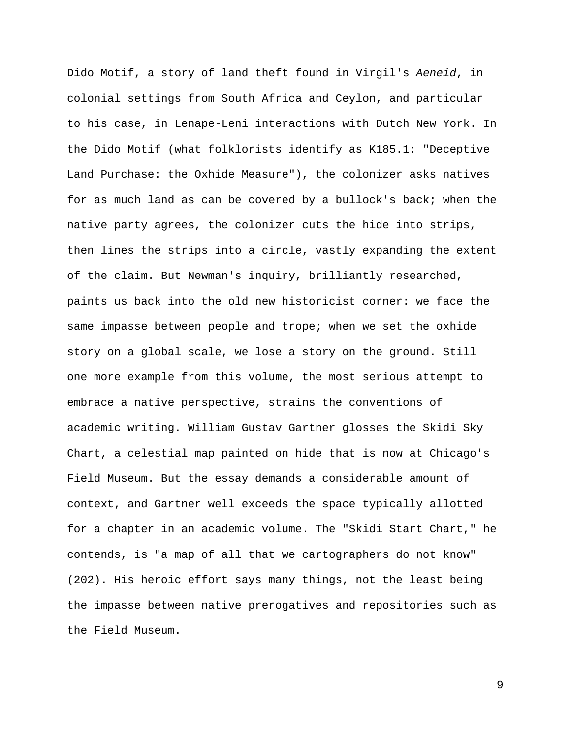Dido Motif, a story of land theft found in Virgil's *Aeneid*, in colonial settings from South Africa and Ceylon, and particular to his case, in Lenape-Leni interactions with Dutch New York. In the Dido Motif (what folklorists identify as K185.1: "Deceptive Land Purchase: the Oxhide Measure"), the colonizer asks natives for as much land as can be covered by a bullock's back; when the native party agrees, the colonizer cuts the hide into strips, then lines the strips into a circle, vastly expanding the extent of the claim. But Newman's inquiry, brilliantly researched, paints us back into the old new historicist corner: we face the same impasse between people and trope; when we set the oxhide story on a global scale, we lose a story on the ground. Still one more example from this volume, the most serious attempt to embrace a native perspective, strains the conventions of academic writing. William Gustav Gartner glosses the Skidi Sky Chart, a celestial map painted on hide that is now at Chicago's Field Museum. But the essay demands a considerable amount of context, and Gartner well exceeds the space typically allotted for a chapter in an academic volume. The "Skidi Start Chart," he contends, is "a map of all that we cartographers do not know" (202). His heroic effort says many things, not the least being the impasse between native prerogatives and repositories such as the Field Museum.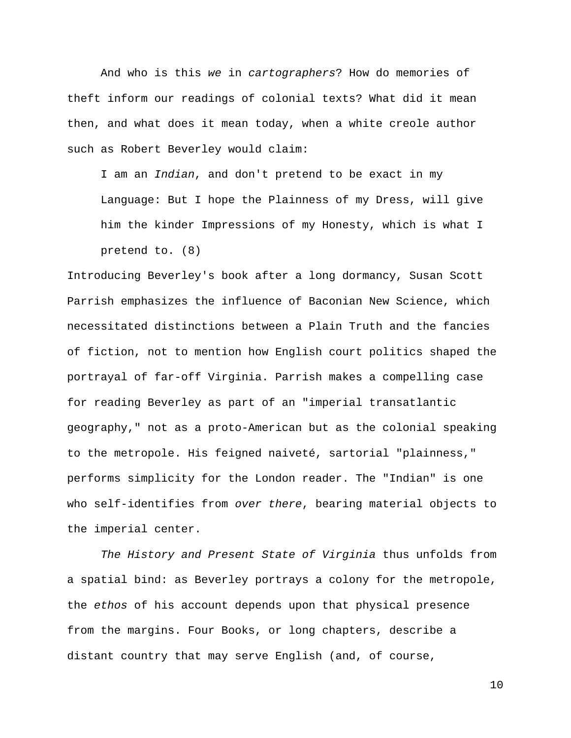And who is this *we* in *cartographers*? How do memories of theft inform our readings of colonial texts? What did it mean then, and what does it mean today, when a white creole author such as Robert Beverley would claim:

I am an *Indian*, and don't pretend to be exact in my

Language: But I hope the Plainness of my Dress, will give him the kinder Impressions of my Honesty, which is what I pretend to. (8)

Introducing Beverley's book after a long dormancy, Susan Scott Parrish emphasizes the influence of Baconian New Science, which necessitated distinctions between a Plain Truth and the fancies of fiction, not to mention how English court politics shaped the portrayal of far-off Virginia. Parrish makes a compelling case for reading Beverley as part of an "imperial transatlantic geography," not as a proto-American but as the colonial speaking to the metropole. His feigned naiveté, sartorial "plainness," performs simplicity for the London reader. The "Indian" is one who self-identifies from *over there*, bearing material objects to the imperial center.

*The History and Present State of Virginia* thus unfolds from a spatial bind: as Beverley portrays a colony for the metropole, the *ethos* of his account depends upon that physical presence from the margins. Four Books, or long chapters, describe a distant country that may serve English (and, of course,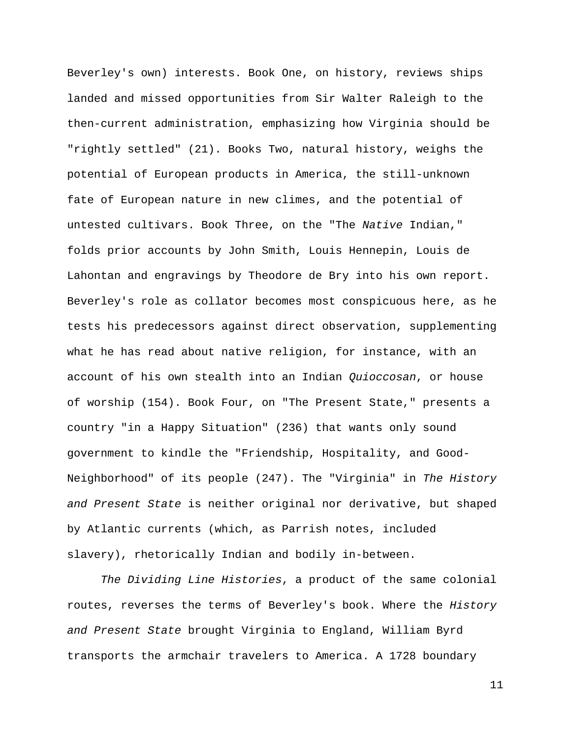Beverley's own) interests. Book One, on history, reviews ships landed and missed opportunities from Sir Walter Raleigh to the then-current administration, emphasizing how Virginia should be "rightly settled" (21). Books Two, natural history, weighs the potential of European products in America, the still-unknown fate of European nature in new climes, and the potential of untested cultivars. Book Three, on the "The *Native* Indian," folds prior accounts by John Smith, Louis Hennepin, Louis de Lahontan and engravings by Theodore de Bry into his own report. Beverley's role as collator becomes most conspicuous here, as he tests his predecessors against direct observation, supplementing what he has read about native religion, for instance, with an account of his own stealth into an Indian *Quioccosan*, or house of worship (154). Book Four, on "The Present State," presents a country "in a Happy Situation" (236) that wants only sound government to kindle the "Friendship, Hospitality, and Good-Neighborhood" of its people (247). The "Virginia" in *The History and Present State* is neither original nor derivative, but shaped by Atlantic currents (which, as Parrish notes, included slavery), rhetorically Indian and bodily in-between.

*The Dividing Line Histories*, a product of the same colonial routes, reverses the terms of Beverley's book. Where the *History and Present State* brought Virginia to England, William Byrd transports the armchair travelers to America. A 1728 boundary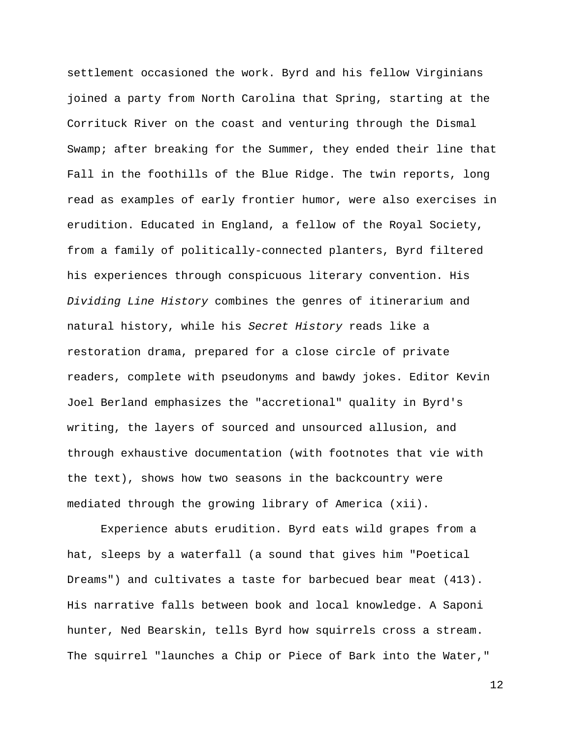settlement occasioned the work. Byrd and his fellow Virginians joined a party from North Carolina that Spring, starting at the Corrituck River on the coast and venturing through the Dismal Swamp; after breaking for the Summer, they ended their line that Fall in the foothills of the Blue Ridge. The twin reports, long read as examples of early frontier humor, were also exercises in erudition. Educated in England, a fellow of the Royal Society, from a family of politically-connected planters, Byrd filtered his experiences through conspicuous literary convention. His *Dividing Line History* combines the genres of itinerarium and natural history, while his *Secret History* reads like a restoration drama, prepared for a close circle of private readers, complete with pseudonyms and bawdy jokes. Editor Kevin Joel Berland emphasizes the "accretional" quality in Byrd's writing, the layers of sourced and unsourced allusion, and through exhaustive documentation (with footnotes that vie with the text), shows how two seasons in the backcountry were mediated through the growing library of America (xii).

 Experience abuts erudition. Byrd eats wild grapes from a hat, sleeps by a waterfall (a sound that gives him "Poetical Dreams") and cultivates a taste for barbecued bear meat (413). His narrative falls between book and local knowledge. A Saponi hunter, Ned Bearskin, tells Byrd how squirrels cross a stream. The squirrel "launches a Chip or Piece of Bark into the Water,"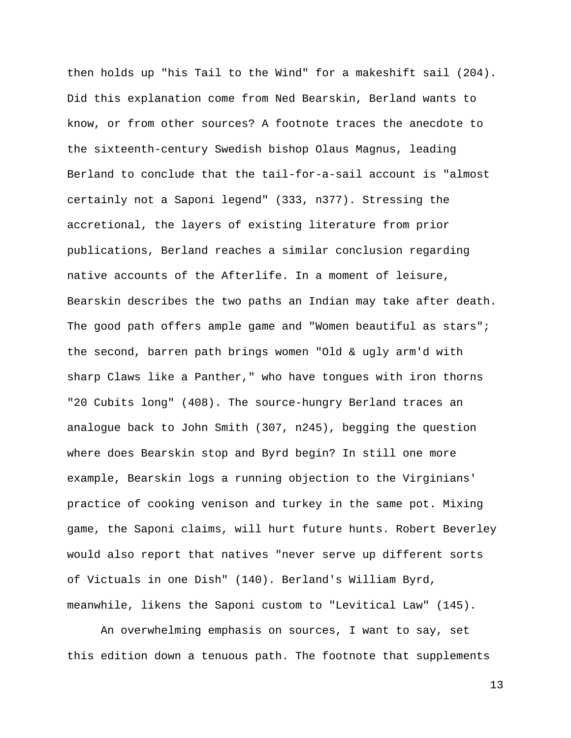then holds up "his Tail to the Wind" for a makeshift sail (204). Did this explanation come from Ned Bearskin, Berland wants to know, or from other sources? A footnote traces the anecdote to the sixteenth-century Swedish bishop Olaus Magnus, leading Berland to conclude that the tail-for-a-sail account is "almost certainly not a Saponi legend" (333, n377). Stressing the accretional, the layers of existing literature from prior publications, Berland reaches a similar conclusion regarding native accounts of the Afterlife. In a moment of leisure, Bearskin describes the two paths an Indian may take after death. The good path offers ample game and "Women beautiful as stars"; the second, barren path brings women "Old & ugly arm'd with sharp Claws like a Panther," who have tongues with iron thorns "20 Cubits long" (408). The source-hungry Berland traces an analogue back to John Smith (307, n245), begging the question where does Bearskin stop and Byrd begin? In still one more example, Bearskin logs a running objection to the Virginians' practice of cooking venison and turkey in the same pot. Mixing game, the Saponi claims, will hurt future hunts. Robert Beverley would also report that natives "never serve up different sorts of Victuals in one Dish" (140). Berland's William Byrd, meanwhile, likens the Saponi custom to "Levitical Law" (145).

 An overwhelming emphasis on sources, I want to say, set this edition down a tenuous path. The footnote that supplements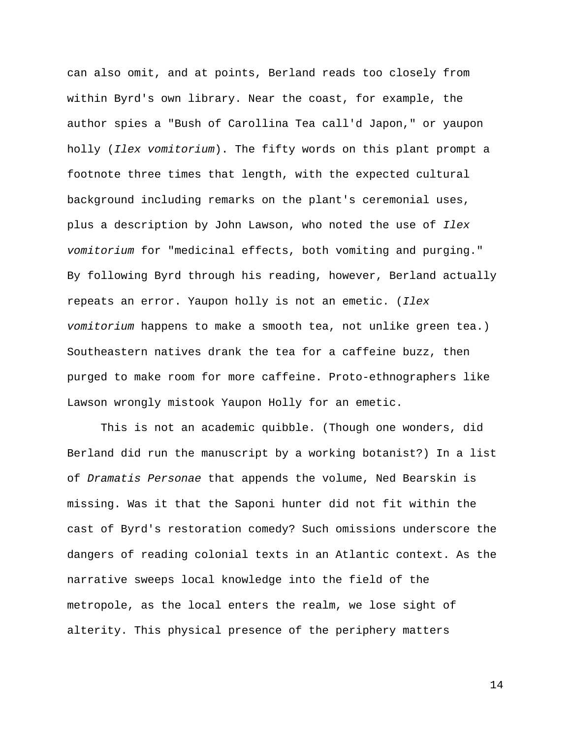can also omit, and at points, Berland reads too closely from within Byrd's own library. Near the coast, for example, the author spies a "Bush of Carollina Tea call'd Japon," or yaupon holly (*Ilex vomitorium*). The fifty words on this plant prompt a footnote three times that length, with the expected cultural background including remarks on the plant's ceremonial uses, plus a description by John Lawson, who noted the use of *Ilex vomitorium* for "medicinal effects, both vomiting and purging." By following Byrd through his reading, however, Berland actually repeats an error. Yaupon holly is not an emetic. (*Ilex vomitorium* happens to make a smooth tea, not unlike green tea.) Southeastern natives drank the tea for a caffeine buzz, then purged to make room for more caffeine. Proto-ethnographers like Lawson wrongly mistook Yaupon Holly for an emetic.

 This is not an academic quibble. (Though one wonders, did Berland did run the manuscript by a working botanist?) In a list of *Dramatis Personae* that appends the volume, Ned Bearskin is missing. Was it that the Saponi hunter did not fit within the cast of Byrd's restoration comedy? Such omissions underscore the dangers of reading colonial texts in an Atlantic context. As the narrative sweeps local knowledge into the field of the metropole, as the local enters the realm, we lose sight of alterity. This physical presence of the periphery matters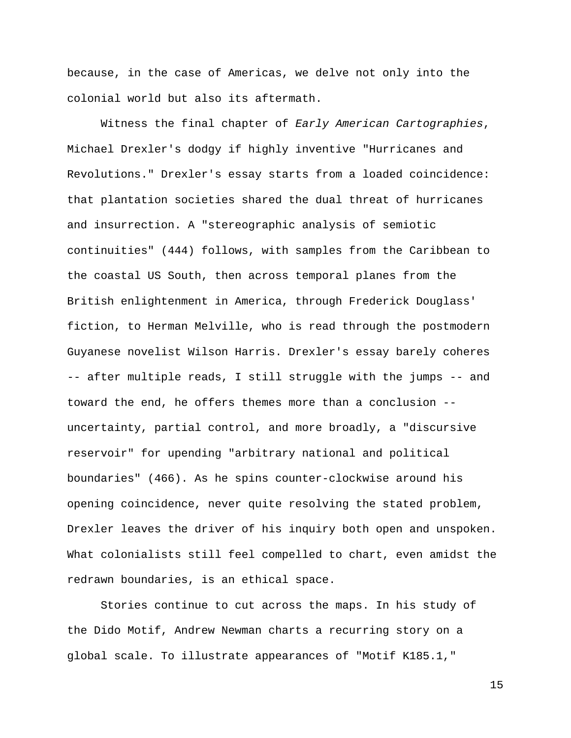because, in the case of Americas, we delve not only into the colonial world but also its aftermath.

 Witness the final chapter of *Early American Cartographies*, Michael Drexler's dodgy if highly inventive "Hurricanes and Revolutions." Drexler's essay starts from a loaded coincidence: that plantation societies shared the dual threat of hurricanes and insurrection. A "stereographic analysis of semiotic continuities" (444) follows, with samples from the Caribbean to the coastal US South, then across temporal planes from the British enlightenment in America, through Frederick Douglass' fiction, to Herman Melville, who is read through the postmodern Guyanese novelist Wilson Harris. Drexler's essay barely coheres -- after multiple reads, I still struggle with the jumps -- and toward the end, he offers themes more than a conclusion - uncertainty, partial control, and more broadly, a "discursive reservoir" for upending "arbitrary national and political boundaries" (466). As he spins counter-clockwise around his opening coincidence, never quite resolving the stated problem, Drexler leaves the driver of his inquiry both open and unspoken. What colonialists still feel compelled to chart, even amidst the redrawn boundaries, is an ethical space.

 Stories continue to cut across the maps. In his study of the Dido Motif, Andrew Newman charts a recurring story on a global scale. To illustrate appearances of "Motif K185.1,"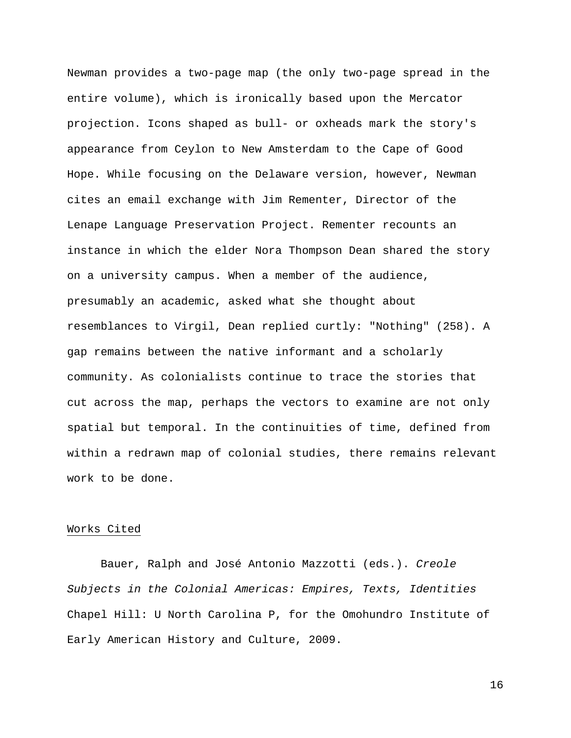Newman provides a two-page map (the only two-page spread in the entire volume), which is ironically based upon the Mercator projection. Icons shaped as bull- or oxheads mark the story's appearance from Ceylon to New Amsterdam to the Cape of Good Hope. While focusing on the Delaware version, however, Newman cites an email exchange with Jim Rementer, Director of the Lenape Language Preservation Project. Rementer recounts an instance in which the elder Nora Thompson Dean shared the story on a university campus. When a member of the audience, presumably an academic, asked what she thought about resemblances to Virgil, Dean replied curtly: "Nothing" (258). A gap remains between the native informant and a scholarly community. As colonialists continue to trace the stories that cut across the map, perhaps the vectors to examine are not only spatial but temporal. In the continuities of time, defined from within a redrawn map of colonial studies, there remains relevant work to be done.

### Works Cited

Bauer, Ralph and José Antonio Mazzotti (eds.). *Creole Subjects in the Colonial Americas: Empires, Texts, Identities*  Chapel Hill: U North Carolina P, for the Omohundro Institute of Early American History and Culture, 2009.